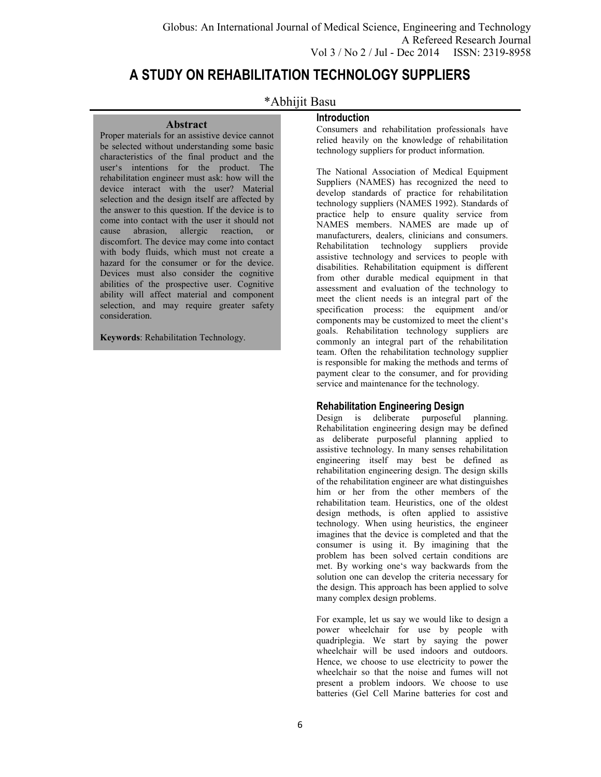**Introduction** 

# **A STUDY ON REHABILITATION TECHNOLOGY SUPPLIERS**

# \*Abhijit Basu

#### **Abstract**

Proper materials for an assistive device cannot be selected without understanding some basic characteristics of the final product and the user's intentions for the product. The rehabilitation engineer must ask: how will the device interact with the user? Material selection and the design itself are affected by the answer to this question. If the device is to come into contact with the user it should not cause abrasion, allergic reaction, or discomfort. The device may come into contact with body fluids, which must not create a hazard for the consumer or for the device. Devices must also consider the cognitive abilities of the prospective user. Cognitive ability will affect material and component selection, and may require greater safety consideration.

**Keywords**: Rehabilitation Technology.

Consumers and rehabilitation professionals have relied heavily on the knowledge of rehabilitation technology suppliers for product information.

The National Association of Medical Equipment Suppliers (NAMES) has recognized the need to develop standards of practice for rehabilitation technology suppliers (NAMES 1992). Standards of practice help to ensure quality service from NAMES members. NAMES are made up of manufacturers, dealers, clinicians and consumers. Rehabilitation technology suppliers provide assistive technology and services to people with disabilities. Rehabilitation equipment is different from other durable medical equipment in that assessment and evaluation of the technology to meet the client needs is an integral part of the specification process: the equipment and/or components may be customized to meet the client's goals. Rehabilitation technology suppliers are commonly an integral part of the rehabilitation team. Often the rehabilitation technology supplier is responsible for making the methods and terms of payment clear to the consumer, and for providing service and maintenance for the technology.

## **Rehabilitation Engineering Design**

Design is deliberate purposeful planning. Rehabilitation engineering design may be defined as deliberate purposeful planning applied to assistive technology. In many senses rehabilitation engineering itself may best be defined as rehabilitation engineering design. The design skills of the rehabilitation engineer are what distinguishes him or her from the other members of the rehabilitation team. Heuristics, one of the oldest design methods, is often applied to assistive technology. When using heuristics, the engineer imagines that the device is completed and that the consumer is using it. By imagining that the problem has been solved certain conditions are met. By working one's way backwards from the solution one can develop the criteria necessary for the design. This approach has been applied to solve many complex design problems.

For example, let us say we would like to design a power wheelchair for use by people with quadriplegia. We start by saying the power wheelchair will be used indoors and outdoors. Hence, we choose to use electricity to power the wheelchair so that the noise and fumes will not present a problem indoors. We choose to use batteries (Gel Cell Marine batteries for cost and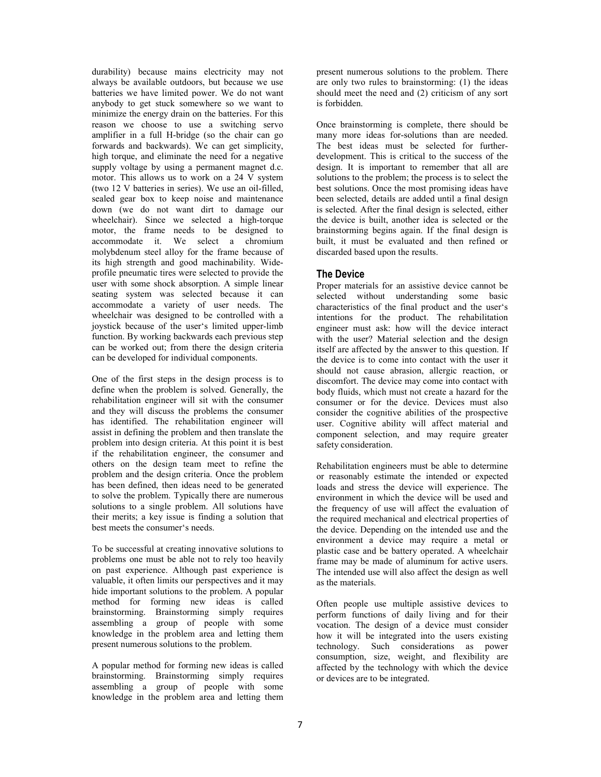durability) because mains electricity may not always be available outdoors, but because we use batteries we have limited power. We do not want anybody to get stuck somewhere so we want to minimize the energy drain on the batteries. For this reason we choose to use a switching servo amplifier in a full H-bridge (so the chair can go forwards and backwards). We can get simplicity, high torque, and eliminate the need for a negative supply voltage by using a permanent magnet d.c. motor. This allows us to work on a 24 V system (two 12 V batteries in series). We use an oil-filled, sealed gear box to keep noise and maintenance down (we do not want dirt to damage our wheelchair). Since we selected a high-torque motor, the frame needs to be designed to accommodate it. We select a chromium molybdenum steel alloy for the frame because of its high strength and good machinability. Wideprofile pneumatic tires were selected to provide the user with some shock absorption. A simple linear seating system was selected because it can accommodate a variety of user needs. The wheelchair was designed to be controlled with a joystick because of the user's limited upper-limb function. By working backwards each previous step can be worked out; from there the design criteria can be developed for individual components.

One of the first steps in the design process is to define when the problem is solved. Generally, the rehabilitation engineer will sit with the consumer and they will discuss the problems the consumer has identified. The rehabilitation engineer will assist in defining the problem and then translate the problem into design criteria. At this point it is best if the rehabilitation engineer, the consumer and others on the design team meet to refine the problem and the design criteria. Once the problem has been defined, then ideas need to be generated to solve the problem. Typically there are numerous solutions to a single problem. All solutions have their merits; a key issue is finding a solution that best meets the consumer's needs.

To be successful at creating innovative solutions to problems one must be able not to rely too heavily on past experience. Although past experience is valuable, it often limits our perspectives and it may hide important solutions to the problem. A popular method for forming new ideas is called brainstorming. Brainstorming simply requires assembling a group of people with some knowledge in the problem area and letting them present numerous solutions to the problem.

A popular method for forming new ideas is called brainstorming. Brainstorming simply requires assembling a group of people with some knowledge in the problem area and letting them

present numerous solutions to the problem. There are only two rules to brainstorming: (1) the ideas should meet the need and (2) criticism of any sort is forbidden.

Once brainstorming is complete, there should be many more ideas for-solutions than are needed. The best ideas must be selected for furtherdevelopment. This is critical to the success of the design. It is important to remember that all are solutions to the problem; the process is to select the best solutions. Once the most promising ideas have been selected, details are added until a final design is selected. After the final design is selected, either the device is built, another idea is selected or the brainstorming begins again. If the final design is built, it must be evaluated and then refined or discarded based upon the results.

## **The Device**

Proper materials for an assistive device cannot be selected without understanding some basic characteristics of the final product and the user's intentions for the product. The rehabilitation engineer must ask: how will the device interact with the user? Material selection and the design itself are affected by the answer to this question. If the device is to come into contact with the user it should not cause abrasion, allergic reaction, or discomfort. The device may come into contact with body fluids, which must not create a hazard for the consumer or for the device. Devices must also consider the cognitive abilities of the prospective user. Cognitive ability will affect material and component selection, and may require greater safety consideration.

Rehabilitation engineers must be able to determine or reasonably estimate the intended or expected loads and stress the device will experience. The environment in which the device will be used and the frequency of use will affect the evaluation of the required mechanical and electrical properties of the device. Depending on the intended use and the environment a device may require a metal or plastic case and be battery operated. A wheelchair frame may be made of aluminum for active users. The intended use will also affect the design as well as the materials.

Often people use multiple assistive devices to perform functions of daily living and for their vocation. The design of a device must consider how it will be integrated into the users existing technology. Such considerations as power consumption, size, weight, and flexibility are affected by the technology with which the device or devices are to be integrated.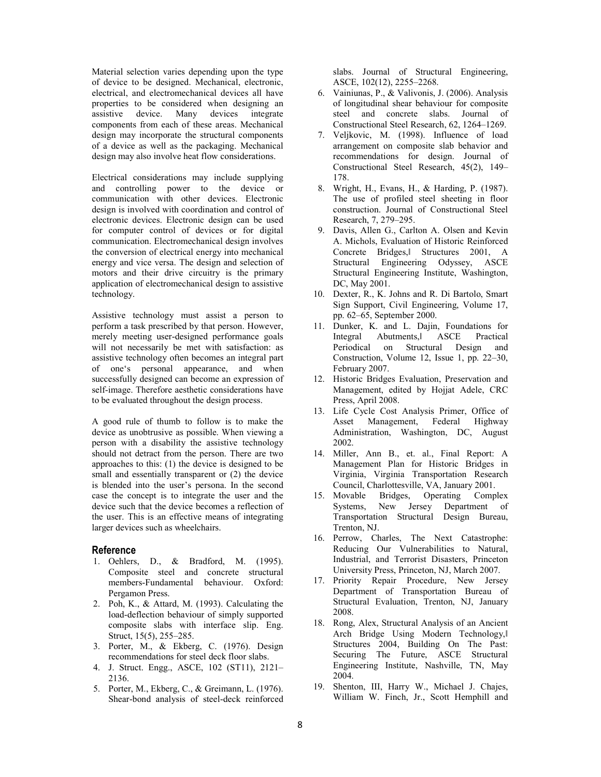Material selection varies depending upon the type of device to be designed. Mechanical, electronic, electrical, and electromechanical devices all have properties to be considered when designing an assistive device. Many devices integrate components from each of these areas. Mechanical design may incorporate the structural components of a device as well as the packaging. Mechanical design may also involve heat flow considerations.

Electrical considerations may include supplying and controlling power to the device or communication with other devices. Electronic design is involved with coordination and control of electronic devices. Electronic design can be used for computer control of devices or for digital communication. Electromechanical design involves the conversion of electrical energy into mechanical energy and vice versa. The design and selection of motors and their drive circuitry is the primary application of electromechanical design to assistive technology.

Assistive technology must assist a person to perform a task prescribed by that person. However, merely meeting user-designed performance goals will not necessarily be met with satisfaction: as assistive technology often becomes an integral part of one's personal appearance, and when successfully designed can become an expression of self-image. Therefore aesthetic considerations have to be evaluated throughout the design process.

A good rule of thumb to follow is to make the device as unobtrusive as possible. When viewing a person with a disability the assistive technology should not detract from the person. There are two approaches to this: (1) the device is designed to be small and essentially transparent or (2) the device is blended into the user's persona. In the second case the concept is to integrate the user and the device such that the device becomes a reflection of the user. This is an effective means of integrating larger devices such as wheelchairs.

#### **Reference**

- 1. Oehlers, D., & Bradford, M. (1995). Composite steel and concrete structural members-Fundamental behaviour. Oxford: Pergamon Press.
- 2. Poh, K., & Attard, M. (1993). Calculating the load-deflection behaviour of simply supported composite slabs with interface slip. Eng. Struct, 15(5), 255–285.
- 3. Porter, M., & Ekberg, C. (1976). Design recommendations for steel deck floor slabs.
- 4. J. Struct. Engg., ASCE, 102 (ST11), 2121– 2136.
- 5. Porter, M., Ekberg, C., & Greimann, L. (1976). Shear-bond analysis of steel-deck reinforced

slabs. Journal of Structural Engineering, ASCE, 102(12), 2255–2268.

- 6. Vainiunas, P., & Valivonis, J. (2006). Analysis of longitudinal shear behaviour for composite steel and concrete slabs. Journal of Constructional Steel Research, 62, 1264–1269.
- 7. Veljkovic, M. (1998). Influence of load arrangement on composite slab behavior and recommendations for design. Journal of Constructional Steel Research, 45(2), 149– 178.
- 8. Wright, H., Evans, H., & Harding, P. (1987). The use of profiled steel sheeting in floor construction. Journal of Constructional Steel Research, 7, 279–295.
- 9. Davis, Allen G., Carlton A. Olsen and Kevin A. Michols, Evaluation of Historic Reinforced Concrete Bridges,‖ Structures 2001, A Structural Engineering Odyssey, ASCE Structural Engineering Institute, Washington, DC, May 2001.
- 10. Dexter, R., K. Johns and R. Di Bartolo, Smart Sign Support, Civil Engineering, Volume 17, pp. 62–65, September 2000.
- 11. Dunker, K. and L. Dajin, Foundations for Integral Abutments,‖ ASCE Practical Periodical on Structural Design and Construction, Volume 12, Issue 1, pp. 22–30, February 2007.
- 12. Historic Bridges Evaluation, Preservation and Management, edited by Hojjat Adele, CRC Press, April 2008.
- 13. Life Cycle Cost Analysis Primer, Office of Asset Management, Federal Highway Administration, Washington, DC, August 2002.
- 14. Miller, Ann B., et. al., Final Report: A Management Plan for Historic Bridges in Virginia, Virginia Transportation Research Council, Charlottesville, VA, January 2001.
- 15. Movable Bridges, Operating Complex Systems, New Jersey Department of Transportation Structural Design Bureau, Trenton, NJ.
- 16. Perrow, Charles, The Next Catastrophe: Reducing Our Vulnerabilities to Natural, Industrial, and Terrorist Disasters, Princeton University Press, Princeton, NJ, March 2007.
- 17. Priority Repair Procedure, New Jersey Department of Transportation Bureau of Structural Evaluation, Trenton, NJ, January 2008.
- 18. Rong, Alex, Structural Analysis of an Ancient Arch Bridge Using Modern Technology,‖ Structures 2004, Building On The Past: Securing The Future, ASCE Structural Engineering Institute, Nashville, TN, May 2004.
- 19. Shenton, III, Harry W., Michael J. Chajes, William W. Finch, Jr., Scott Hemphill and